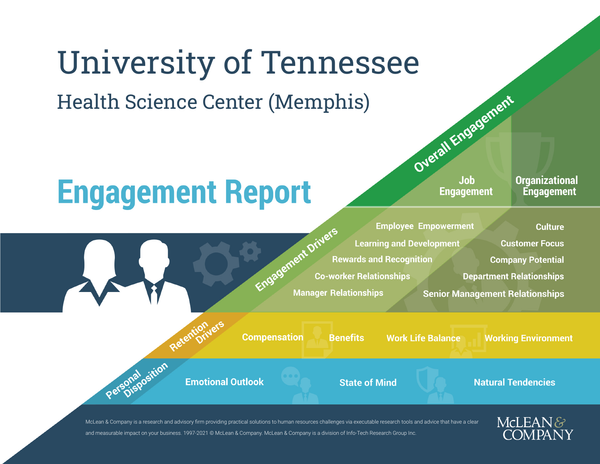

McLean & Company is a research and advisory firm providing practical solutions to human resources challenges via executable research tools and advice that have a clear and measurable impact on your business. 1997-2021 © McLean & Company. McLean & Company is a division of Info-Tech Research Group Inc.

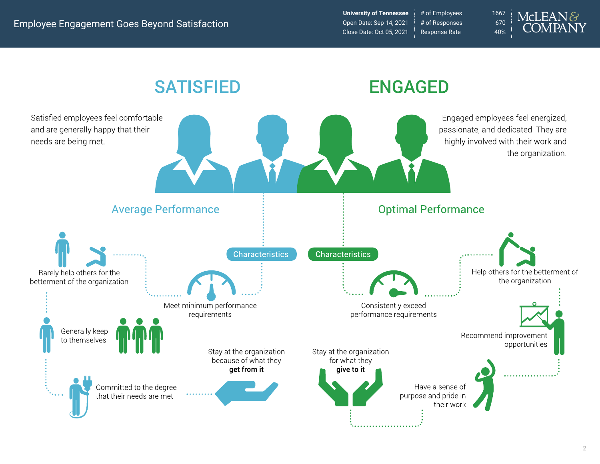# of Employees 1667 # of Responses 670 Response Rate 40%



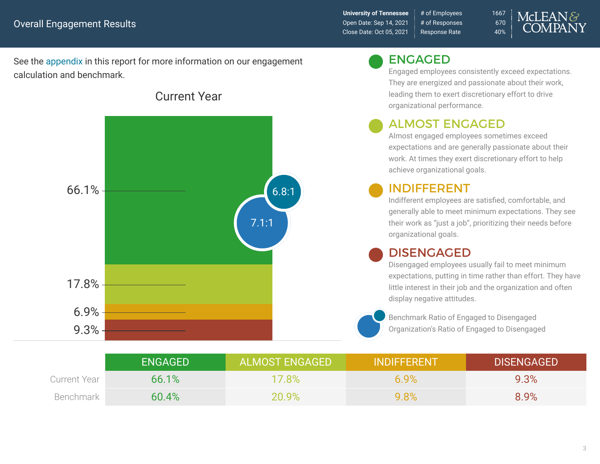

See the [appendix](#page-26-0) in this report for more information on our engagement calculation and benchmark.



### Current Year

### ENGAGED

Engaged employees consistently exceed expectations. They are energized and passionate about their work, leading them to exert discretionary effort to drive organizational performance.

### ALMOST ENGAGED

Almost engaged employees sometimes exceed expectations and are generally passionate about their work. At times they exert discretionary effort to help achieve organizational goals.

### INDIFFERENT

Indifferent employees are satisfied, comfortable, and generally able to meet minimum expectations. They see their work as "just a job", prioritizing their needs before organizational goals.

### **DISENGAGED**

Disengaged employees usually fail to meet minimum expectations, putting in time rather than effort. They have little interest in their job and the organization and often display negative attitudes.



Benchmark Ratio of Engaged to Disengaged Organization's Ratio of Engaged to Disengaged

|              | <b>ENGAGED</b> | <b>ALMOST ENGAGED</b> | <b>INDIFFERENT</b> | <b>DISENGAGED</b> |
|--------------|----------------|-----------------------|--------------------|-------------------|
| Current Year | 66.1%          | $17.8\%$              | 6.9%               | $9.3\%$           |
| Benchmark    | 60.4%          | $20.9\%$              | 9.8%               | $8.9\%$           |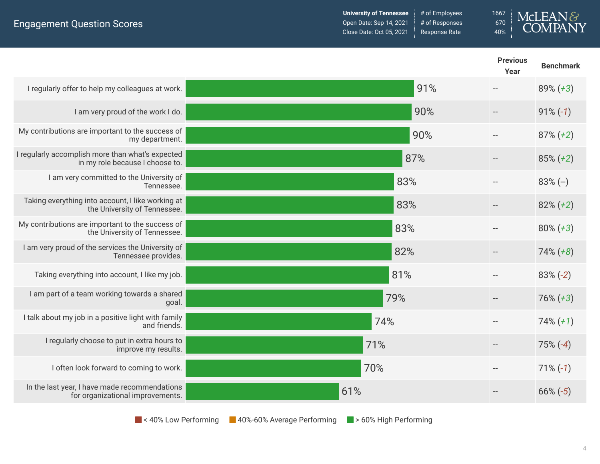

| 91%<br>I regularly offer to help my colleagues at work.                                              | $89\% (+3)$ |
|------------------------------------------------------------------------------------------------------|-------------|
| 90%<br>I am very proud of the work I do.                                                             | $91\% (-1)$ |
| My contributions are important to the success of<br>90%<br>my department.                            | $87\% (+2)$ |
| I regularly accomplish more than what's expected<br>87%<br>in my role because I choose to.           | $85\% (+2)$ |
| I am very committed to the University of<br>83%<br>Tennessee.                                        | $83\% (-)$  |
| Taking everything into account, I like working at<br>83%<br>the University of Tennessee.             | $82\% (+2)$ |
| My contributions are important to the success of<br>83%<br>the University of Tennessee.              | $80\% (+3)$ |
| I am very proud of the services the University of<br>82%<br>$\qquad \qquad -$<br>Tennessee provides. | $74\% (+8)$ |
| 81%<br>Taking everything into account, I like my job.                                                | $83\%(-2)$  |
| I am part of a team working towards a shared<br>79%<br>goal.                                         | $76\% (+3)$ |
| I talk about my job in a positive light with family<br>74%<br>and friends.                           | $74\%$ (+1) |
| I regularly choose to put in extra hours to<br>71%<br>improve my results.                            | $75\%(-4)$  |
| 70%<br>I often look forward to coming to work.                                                       | $71\%(-1)$  |
| In the last year, I have made recommendations<br>61%<br>for organizational improvements.             | $66\% (-5)$ |

■ < 40% Low Performing ■ 40%-60% Average Performing ■ > 60% High Performing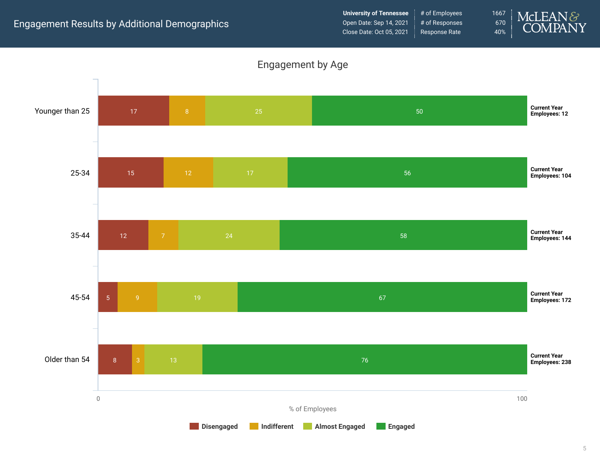McLEAN& **COMPANY** 



#### 5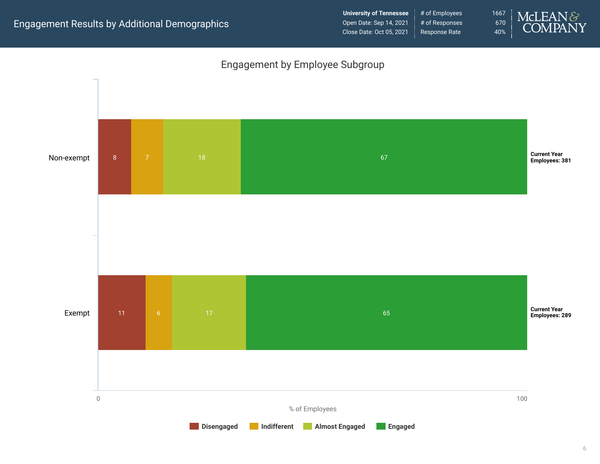# of Employees 1667 # of Responses 670 Response Rate 40%



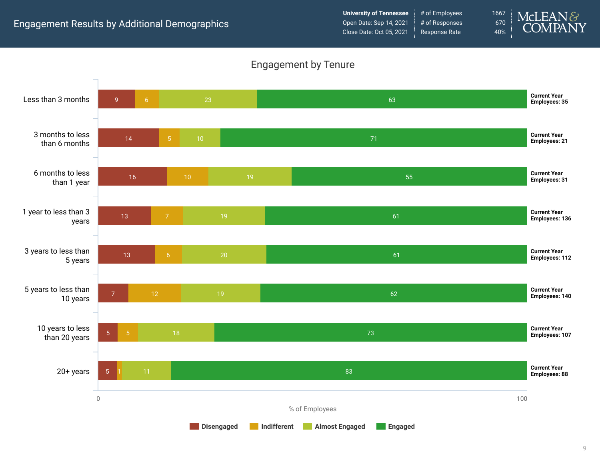McLEAN& **COMPANY** 





9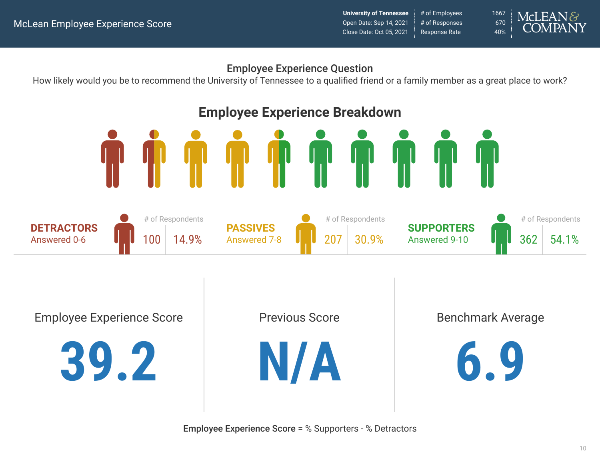

### Employee Experience Question

How likely would you be to recommend the University of Tennessee to a qualified friend or a family member as a great place to work?



Employee Experience Score = % Supporters - % Detractors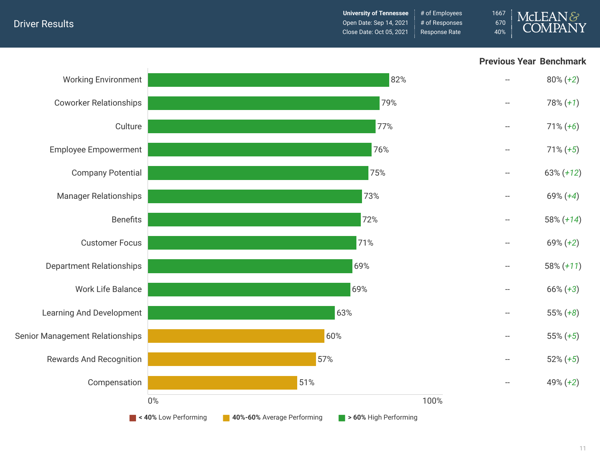# of Employees 1667 # of Responses 670 Response Rate 40%

### $McLEAN \&$ **COMPANY**

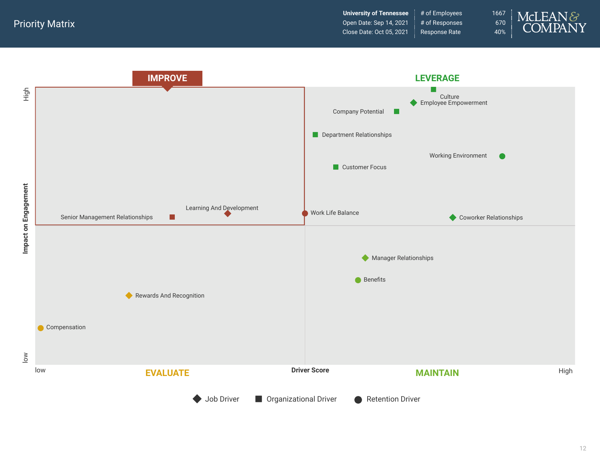

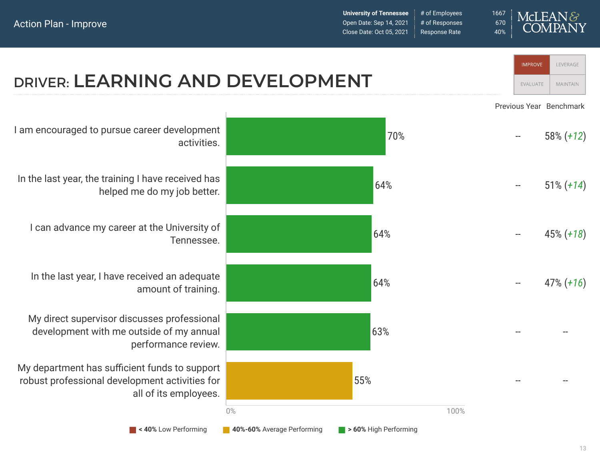

 $McLEAN$ & COMPANY

## DRIVER: **LEARNING AND DEVELOPMENT**

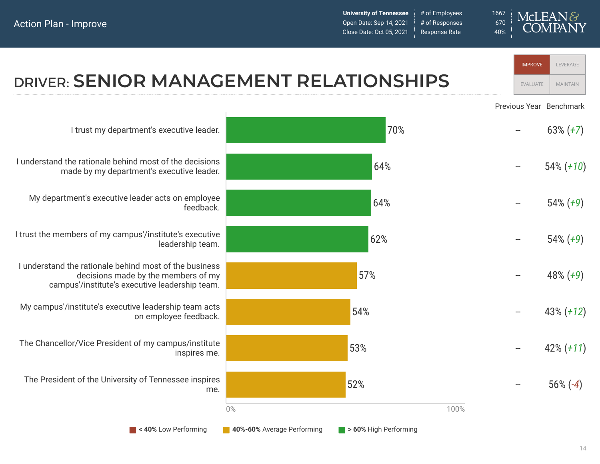# DRIVER: **SENIOR MANAGEMENT RELATIONSHIPS**



| I trust my department's executive leader.                                                                                                       |                            | 70%                   |      | --                       | $63\% (+7)$  |
|-------------------------------------------------------------------------------------------------------------------------------------------------|----------------------------|-----------------------|------|--------------------------|--------------|
| I understand the rationale behind most of the decisions<br>made by my department's executive leader.                                            |                            | 64%                   |      | $\overline{\phantom{m}}$ | $54\% (+10)$ |
| My department's executive leader acts on employee<br>feedback.                                                                                  |                            | 64%                   |      | $\sim$                   | $54\% (+9)$  |
| I trust the members of my campus'/institute's executive<br>leadership team.                                                                     |                            | 62%                   |      | $\sim$                   | $54\% (+9)$  |
| I understand the rationale behind most of the business<br>decisions made by the members of my<br>campus'/institute's executive leadership team. |                            | 57%                   |      | $\overline{\phantom{m}}$ | $48\% (+9)$  |
| My campus'/institute's executive leadership team acts<br>on employee feedback.                                                                  | 54%                        |                       |      | $\sim$                   | $43\% (+12)$ |
| The Chancellor/Vice President of my campus/institute<br>inspires me.                                                                            |                            | 53%                   |      | $\overline{\phantom{m}}$ | $42\% (+11)$ |
| The President of the University of Tennessee inspires<br>me.                                                                                    |                            | 52%                   |      | $\overline{\phantom{m}}$ | $56\%$ (-4)  |
|                                                                                                                                                 | $0\%$                      |                       | 100% |                          |              |
| sale <40% Low Performing                                                                                                                        | 40%-60% Average Performing | > 60% High Performing |      |                          |              |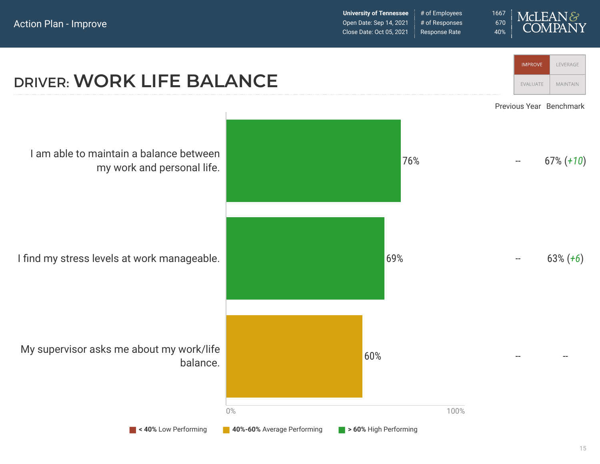# of Employees 1667 # of Responses 670 Response Rate 40%





## DRIVER: **WORK LIFE BALANCE**

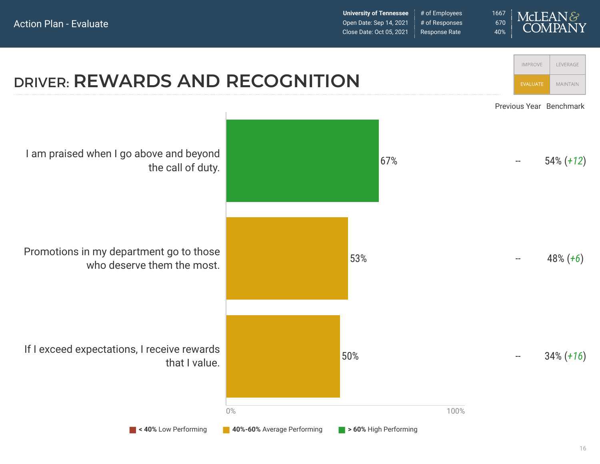# of Employees 1667 # of Responses 670 Response Rate 40%



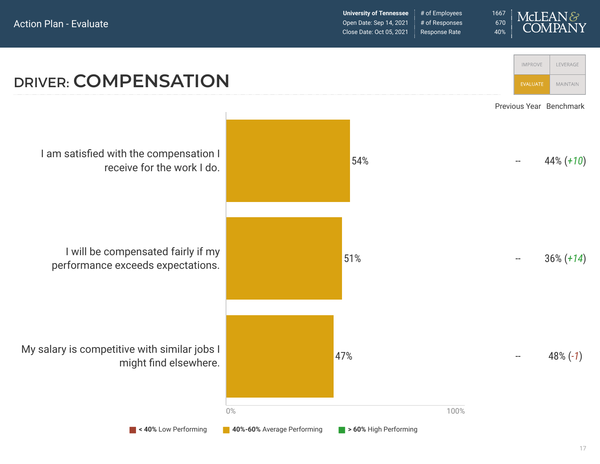Action Plan - Evaluate

**University of Tennessee** Open Date: Sep 14, 2021 Close Date: Oct 05, 2021

# of Employees 1667 # of Responses 670 Response Rate 40%





## DRIVER: **COMPENSATION**

I am satisfied with the compensation I

I will be compensated fairly if my

My salary is competitive with similar jobs I might find elsewhere.

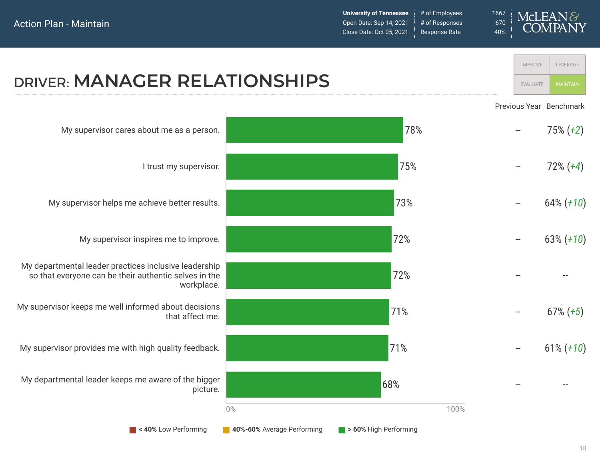# of Employees 1667 # of Responses 670 Response Rate 40%

### $McLEAN$ & **COMPANY**

# DRIVER: **MANAGER RELATIONSHIPS**

Action Plan - Maintain

**IMPROVE** LEVERAGE EVALUATE

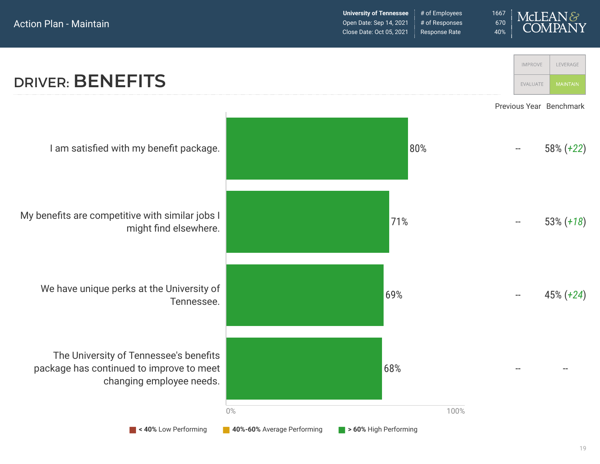$McLEAN \&$ COMPANY

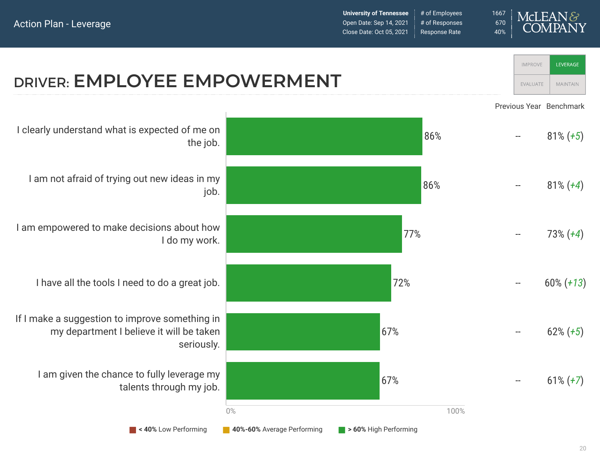

McLEAN& COMPANY

## DRIVER: **EMPLOYEE EMPOWERMENT**

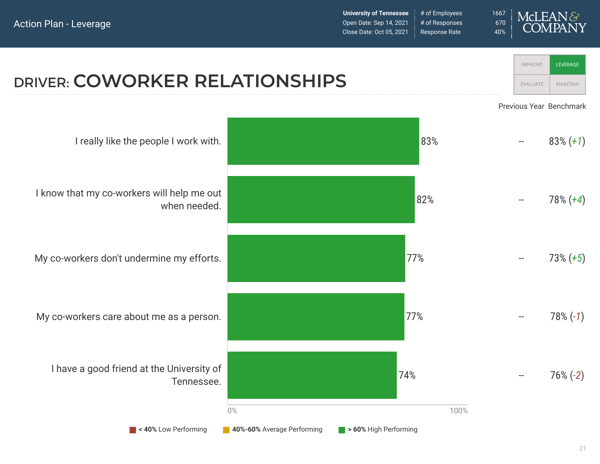# of Employees 1667 # of Responses 670 Response Rate 40%



LEVERAGE

MAINTAIN

**IMPROVE** 

EVALUATE

# DRIVER: **COWORKER RELATIONSHIPS**

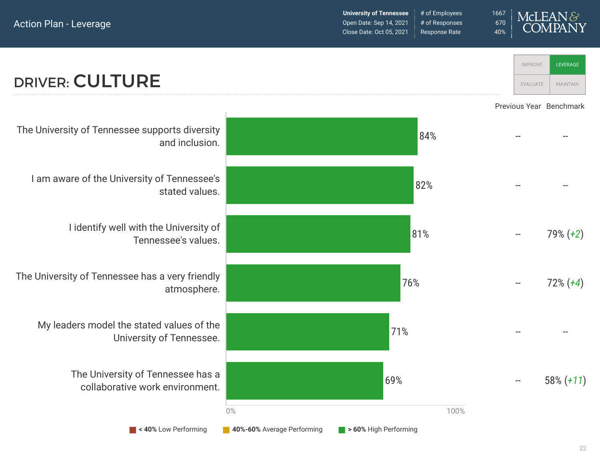# of Employees 1667 # of Responses 670 Response Rate 40%

### $McLEAN \&$ COMPANY



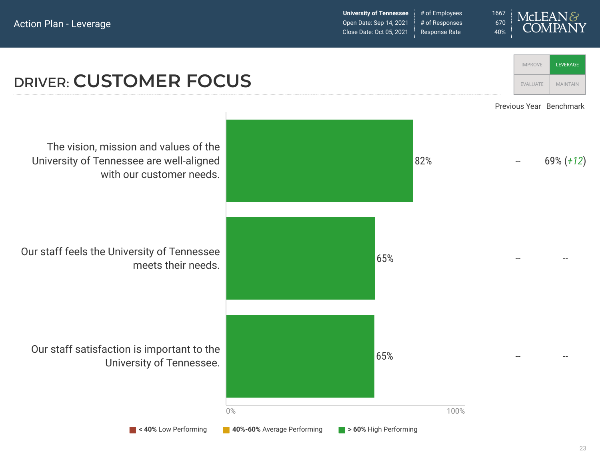# of Employees 1667 # of Responses 670 Response Rate 40%



#### **IMPROVE** LEVERAGE EVALUATE MAINTAIN





Our staff feels the University of Tennessee meets their needs.

Our staff satisfaction is important to the University of Tennessee.

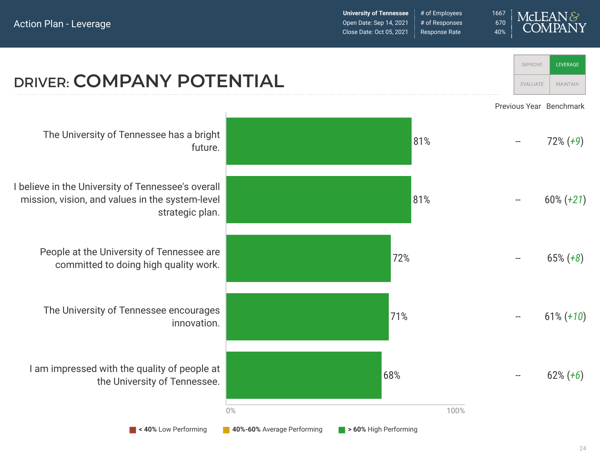# of Employees 1667 # of Responses 670 Response Rate 40%

### McLEAN& COMPANY



DRIVER: **COMPANY POTENTIAL**

#### LEVERAGE **IMPROVE** EVALUATE MAINTAIN

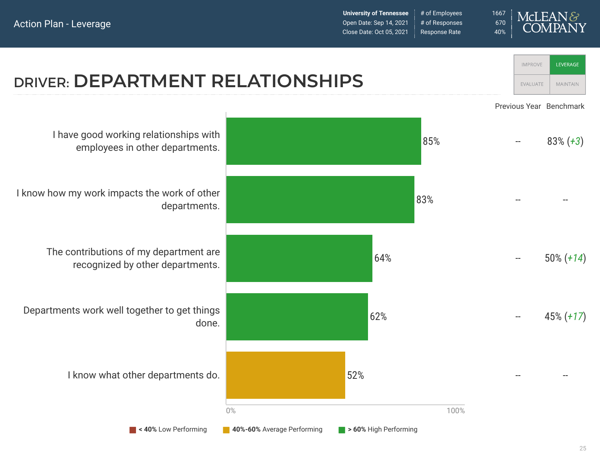# of Employees 1667 # of Responses 670 Response Rate 40%

## Action Plan - Leverage

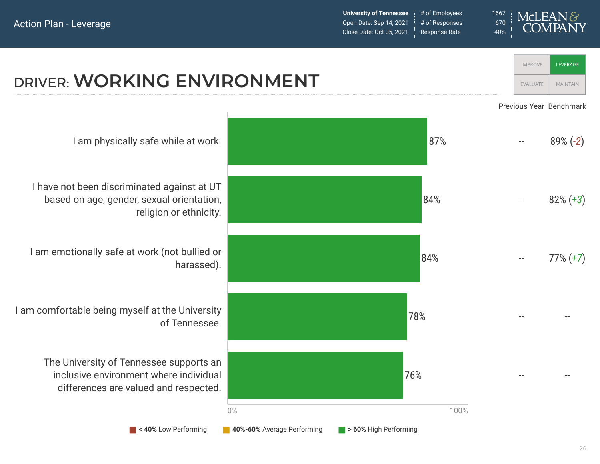# of Employees 1667 # of Responses 670 Response Rate 40%



LEVERAGE

**MAINTAIN** 

**IMPROVE** 

EVALUATE

# DRIVER: **WORKING ENVIRONMENT**

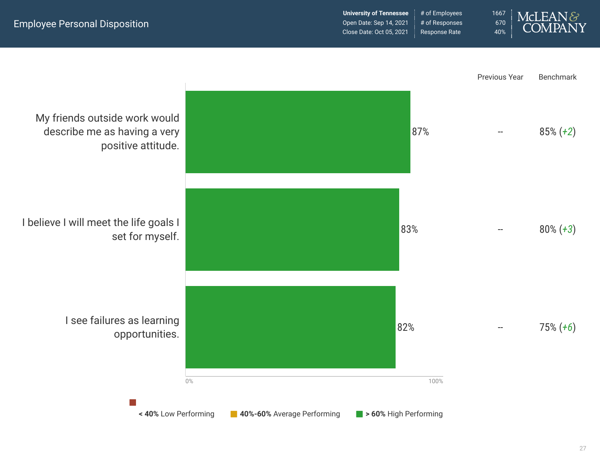

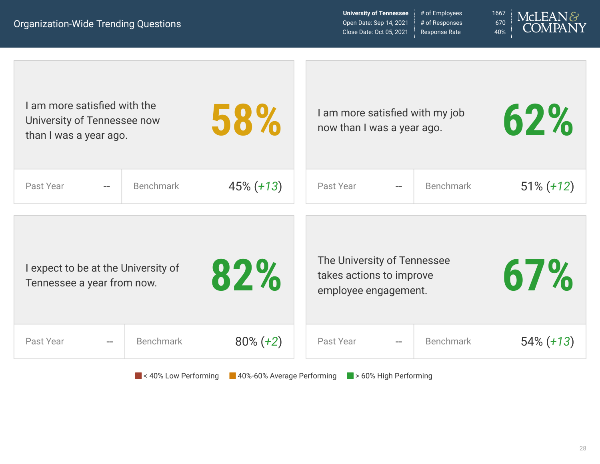$\begin{array}{c} \text{McLEAN}\ \mathcal{E} \\ \text{COMPANY} \end{array}$ 

| I am more satisfied with the<br>University of Tennessee now<br>than I was a year ago. |                                     | 58%                        | I am more satisfied with my job<br>now than I was a year ago.                   |       |                  | 62%          |
|---------------------------------------------------------------------------------------|-------------------------------------|----------------------------|---------------------------------------------------------------------------------|-------|------------------|--------------|
| Past Year                                                                             | <b>Benchmark</b>                    | $45\% (+13)$               | Past Year                                                                       | $- -$ | <b>Benchmark</b> | $51\% (+12)$ |
| I expect to be at the University of<br>Tennessee a year from now.                     |                                     | 82%                        | The University of Tennessee<br>takes actions to improve<br>employee engagement. |       |                  | 67%          |
| Past Year                                                                             | <b>Benchmark</b>                    | $80\% (+2)$                | Past Year                                                                       |       | <b>Benchmark</b> | $54\% (+13)$ |
|                                                                                       | $\blacksquare$ < 40% Low Performing | 40%-60% Average Performing | $\blacksquare$ > 60% High Performing                                            |       |                  |              |